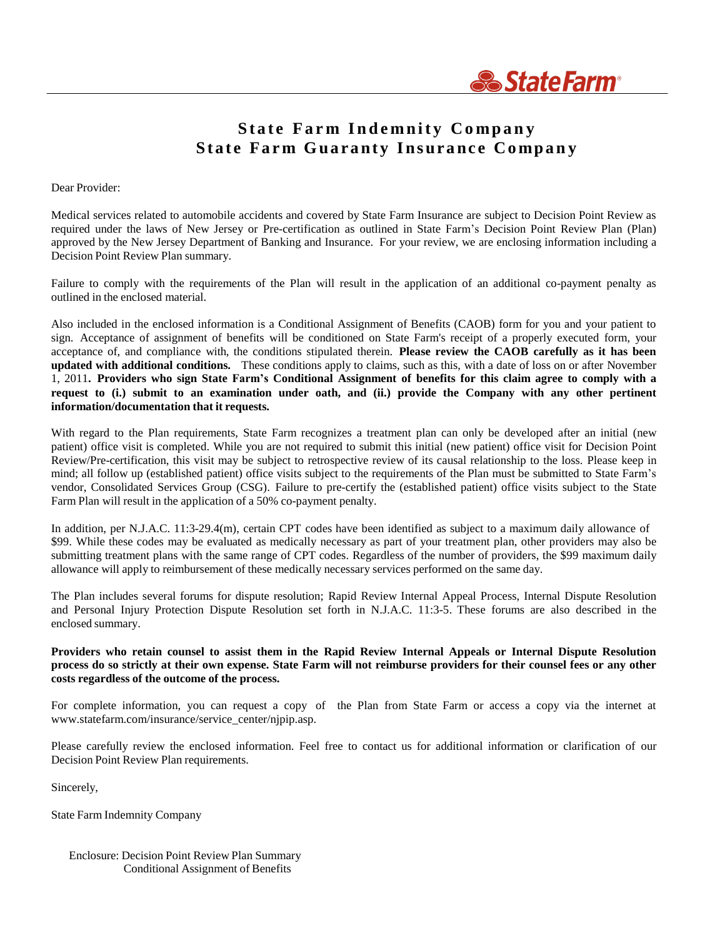

# **S t a t e Fa r m I n d e mnit y Co mpa n y St a t e Fa rm Gua ra nt y I nsura nc e Co mpa n y**

#### Dear Provider:

Medical services related to automobile accidents and covered by State Farm Insurance are subject to Decision Point Review as required under the laws of New Jersey or Pre-certification as outlined in State Farm's Decision Point Review Plan (Plan) approved by the New Jersey Department of Banking and Insurance. For your review, we are enclosing information including a Decision Point Review Plan summary.

Failure to comply with the requirements of the Plan will result in the application of an additional co-payment penalty as outlined in the enclosed material.

Also included in the enclosed information is a Conditional Assignment of Benefits (CAOB) form for you and your patient to sign. Acceptance of assignment of benefits will be conditioned on State Farm's receipt of a properly executed form, your acceptance of, and compliance with, the conditions stipulated therein. **Please review the CAOB carefully as it has been updated with additional conditions.** These conditions apply to claims, such as this, with a date of loss on or after November 1, 2011. Providers who sign State Farm's Conditional Assignment of benefits for this claim agree to comply with a request to (i.) submit to an examination under oath, and (ii.) provide the Company with any other pertinent **information/documentation that it requests.**

With regard to the Plan requirements, State Farm recognizes a treatment plan can only be developed after an initial (new patient) office visit is completed. While you are not required to submit this initial (new patient) office visit for Decision Point Review/Pre-certification, this visit may be subject to retrospective review of its causal relationship to the loss. Please keep in mind; all follow up (established patient) office visits subject to the requirements of the Plan must be submitted to State Farm's vendor, Consolidated Services Group (CSG). Failure to pre-certify the (established patient) office visits subject to the State Farm Plan will result in the application of a 50% co-payment penalty.

In addition, per N.J.A.C. 11:3-29.4(m), certain CPT codes have been identified as subject to a maximum daily allowance of \$99. While these codes may be evaluated as medically necessary as part of your treatment plan, other providers may also be submitting treatment plans with the same range of CPT codes. Regardless of the number of providers, the \$99 maximum daily allowance will apply to reimbursement of these medically necessary services performed on the same day.

The Plan includes several forums for dispute resolution; Rapid Review Internal Appeal Process, Internal Dispute Resolution and Personal Injury Protection Dispute Resolution set forth in N.J.A.C. 11:3-5. These forums are also described in the enclosed summary.

#### Providers who retain counsel to assist them in the Rapid Review Internal Appeals or Internal Dispute Resolution process do so strictly at their own expense. State Farm will not reimburse providers for their counsel fees or any other **costs regardless of the outcome of the process.**

For complete information, you can request a copy of the Plan from State Farm or access a copy via the internet a[t](http://www.statefarm.com/insurance/service_center/njpip.asp) [www.statefarm.com/insurance/service\\_center/njpip.asp.](http://www.statefarm.com/insurance/service_center/njpip.asp)

Please carefully review the enclosed information. Feel free to contact us for additional information or clarification of our Decision Point Review Plan requirements.

Sincerely,

State Farm Indemnity Company

Enclosure: Decision Point Review Plan Summary Conditional Assignment of Benefits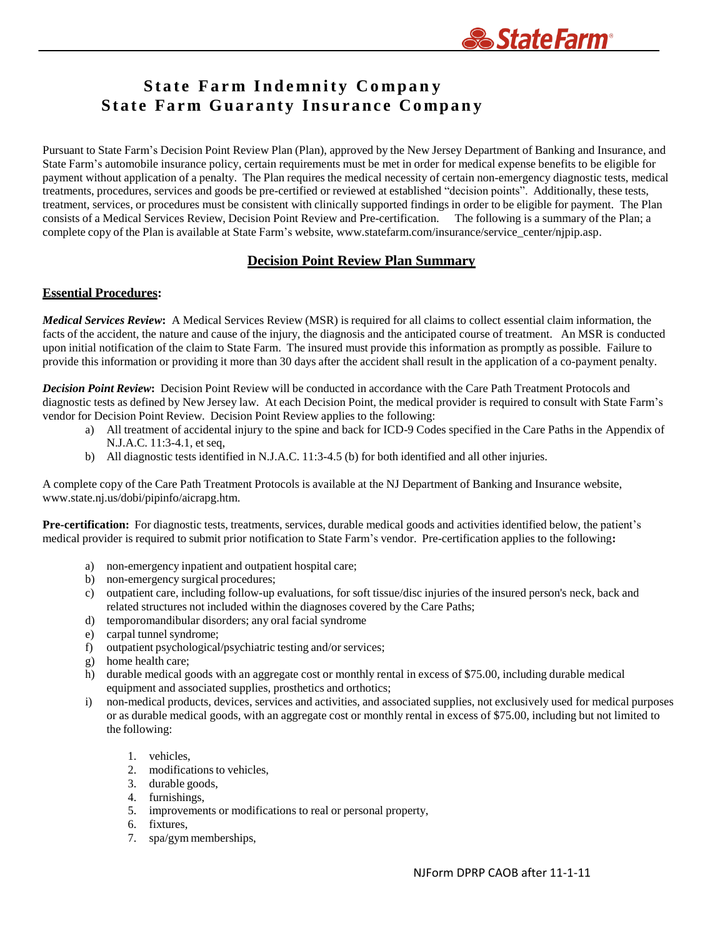

# **S t a t e Fa r m I n d e mnit y Co mpa n y St a t e Fa rm Gua ra nt y I nsura nc e Co mpa n y**

Pursuant to State Farm's Decision Point Review Plan (Plan), approved by the New Jersey Department of Banking and Insurance, and State Farm's automobile insurance policy, certain requirements must be met in order for medical expense benefits to be eligible for payment without application of a penalty. The Plan requires the medical necessity of certain non-emergency diagnostic tests, medical treatments, procedures, services and goods be pre-certified or reviewed at established "decision points". Additionally, these tests, treatment, services, or procedures must be consistent with clinically supported findings in order to be eligible for payment. The Plan consists of a Medical Services Review, Decision Point Review and Pre-certification. The following is a summary of the Plan; a complete copy of the Plan is available at State Farm's website, [www.statefarm.com/insurance/service\\_center/njpip.asp.](http://www.statefarm.com/insurance/service_center/njpip.asp)

## **Decision Point Review Plan Summary**

### **Essential Procedures:**

*Medical Services Review***:** A Medical Services Review (MSR) is required for all claims to collect essential claim information, the facts of the accident, the nature and cause of the injury, the diagnosis and the anticipated course of treatment. An MSR is conducted upon initial notification of the claim to State Farm. The insured must provide this information as promptly as possible. Failure to provide this information or providing it more than 30 days after the accident shall result in the application of a co-payment penalty.

*Decision Point Review***:** Decision Point Review will be conducted in accordance with the Care Path Treatment Protocols and diagnostic tests as defined by New Jersey law. At each Decision Point, the medical provider is required to consult with State Farm's vendor for Decision Point Review. Decision Point Review applies to the following:

- a) All treatment of accidental injury to the spine and back for ICD-9 Codes specified in the Care Paths in the Appendix of N.J.A.C. 11:3-4.1, et seq,
- b) All diagnostic tests identified in N.J.A.C. 11:3-4.5 (b) for both identified and all other injuries.

A complete copy of the Care Path Treatment Protocols is available at the NJ Department of Banking and Insurance websit[e,](http://www.state.nj.us/dobi/pipinfo/aicrapg.htm) [www.state.nj.us/dobi/pipinfo/aicrapg.htm.](http://www.state.nj.us/dobi/pipinfo/aicrapg.htm)

**Pre-certification:** For diagnostic tests, treatments, services, durable medical goods and activities identified below, the patient's medical provider is required to submit prior notification to State Farm's vendor. Pre-certification applies to the following**:**

- a) non-emergency inpatient and outpatient hospital care;
- b) non-emergency surgical procedures;
- c) outpatient care, including follow-up evaluations, for soft tissue/disc injuries of the insured person's neck, back and related structures not included within the diagnoses covered by the Care Paths;
- d) temporomandibular disorders; any oral facial syndrome
- e) carpal tunnel syndrome;
- f) outpatient psychological/psychiatric testing and/or services;
- g) home health care;
- h) durable medical goods with an aggregate cost or monthly rental in excess of \$75.00, including durable medical equipment and associated supplies, prosthetics and orthotics;
- i) non-medical products, devices, services and activities, and associated supplies, not exclusively used for medical purposes or as durable medical goods, with an aggregate cost or monthly rental in excess of \$75.00, including but not limited to the following:
	- 1. vehicles,
	- 2. modifications to vehicles,
	- 3. durable goods,
	- 4. furnishings,
	- 5. improvements or modifications to real or personal property,
	- 6. fixtures,
	- 7. spa/gym memberships,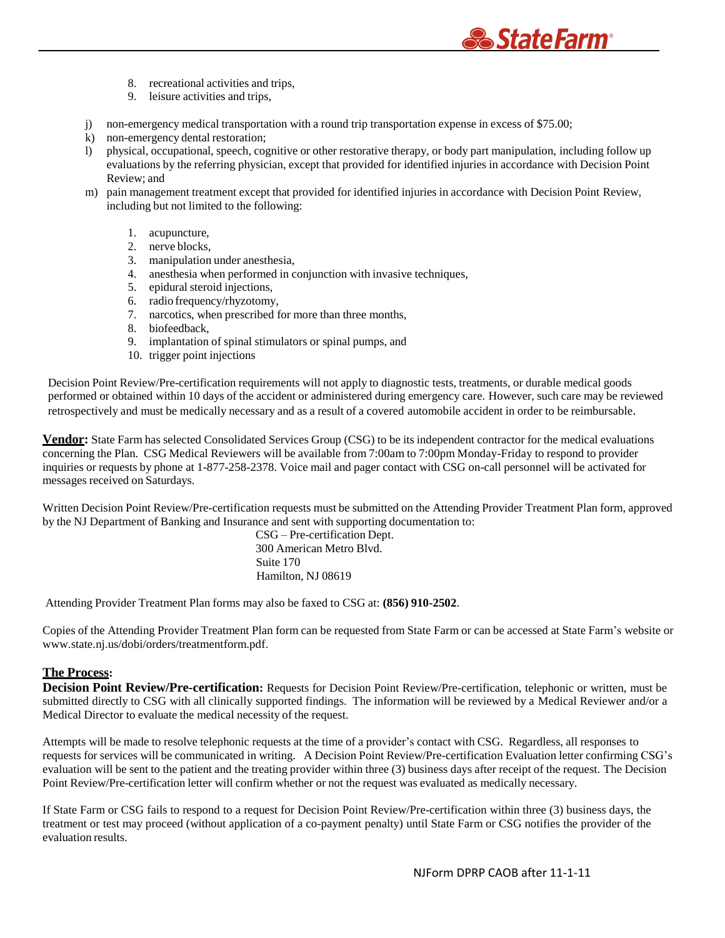- 8. recreational activities and trips,
- 9. leisure activities and trips,
- j) non-emergency medical transportation with a round trip transportation expense in excess of \$75.00;
- k) non-emergency dental restoration;
- l) physical, occupational, speech, cognitive or other restorative therapy, or body part manipulation, including follow up evaluations by the referring physician, except that provided for identified injuries in accordance with Decision Point Review; and

*StateFarm®* 

- m) pain management treatment except that provided for identified injuries in accordance with Decision Point Review, including but not limited to the following:
	- 1. acupuncture,
	- 2. nerve blocks,
	- 3. manipulation under anesthesia,
	- 4. anesthesia when performed in conjunction with invasive techniques,
	- 5. epidural steroid injections,
	- 6. radio frequency/rhyzotomy,
	- 7. narcotics, when prescribed for more than three months,
	- 8. biofeedback,
	- 9. implantation of spinal stimulators or spinal pumps, and
	- 10. trigger point injections

Decision Point Review/Pre-certification requirements will not apply to diagnostic tests, treatments, or durable medical goods performed or obtained within 10 days of the accident or administered during emergency care. However, such care may be reviewed retrospectively and must be medically necessary and as a result of a covered automobile accident in order to be reimbursable.

**Vendor:** State Farm has selected Consolidated Services Group (CSG) to be its independent contractor for the medical evaluations concerning the Plan. CSG Medical Reviewers will be available from 7:00am to 7:00pm Monday-Friday to respond to provider inquiries or requests by phone at 1-877-258-2378. Voice mail and pager contact with CSG on-call personnel will be activated for messages received on Saturdays.

Written Decision Point Review/Pre-certification requests must be submitted on the Attending Provider Treatment Plan form, approved by the NJ Department of Banking and Insurance and sent with supporting documentation to:

> CSG – Pre-certification Dept. 300 American Metro Blvd. Suite 170 Hamilton, NJ 08619

Attending Provider Treatment Plan forms may also be faxed to CSG at: **(856) 910-2502**.

Copies of the Attending Provider Treatment Plan form can be requested from State Farm or can be accessed at State Farm's website or [www.state.nj.us/dobi/orders/treatmentform.pdf.](http://www.state.nj.us/dobi/orders/treatmentform.pdf)

### **The Process:**

**Decision Point Review/Pre-certification:** Requests for Decision Point Review/Pre-certification, telephonic or written, must be submitted directly to CSG with all clinically supported findings. The information will be reviewed by a Medical Reviewer and/or a Medical Director to evaluate the medical necessity of the request.

Attempts will be made to resolve telephonic requests at the time of a provider's contact with CSG. Regardless, all responses to requests for services will be communicated in writing. A Decision Point Review/Pre-certification Evaluation letter confirming CSG's evaluation will be sent to the patient and the treating provider within three (3) business days after receipt of the request. The Decision Point Review/Pre-certification letter will confirm whether or not the request was evaluated as medically necessary.

If State Farm or CSG fails to respond to a request for Decision Point Review/Pre-certification within three (3) business days, the treatment or test may proceed (without application of a co-payment penalty) until State Farm or CSG notifies the provider of the evaluation results.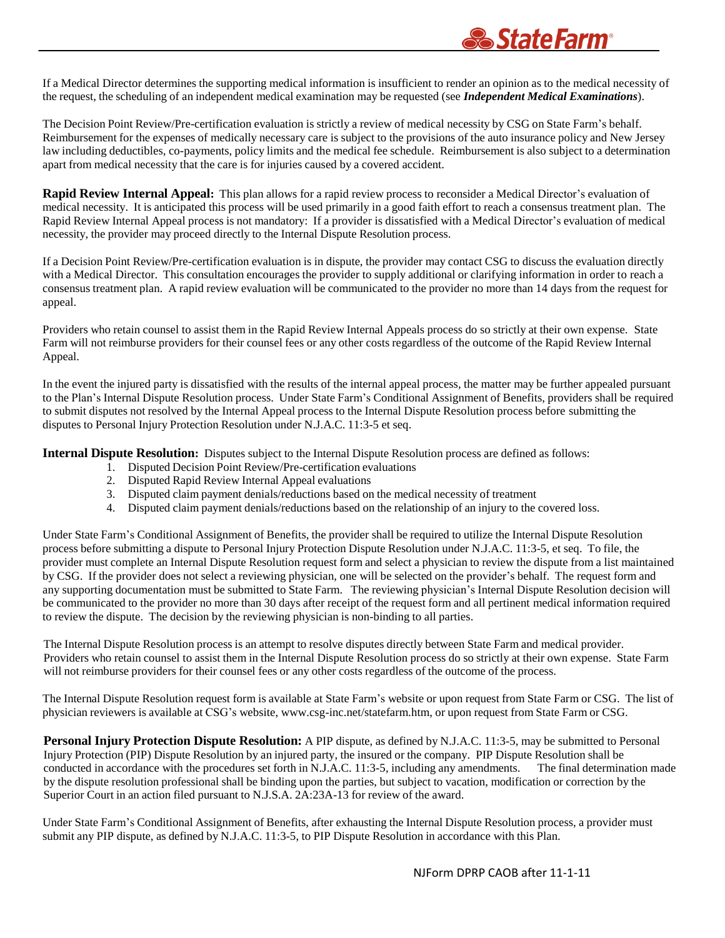

If a Medical Director determines the supporting medical information is insufficient to render an opinion as to the medical necessity of the request, the scheduling of an independent medical examination may be requested (see *Independent Medical Examinations*).

The Decision Point Review/Pre-certification evaluation is strictly a review of medical necessity by CSG on State Farm's behalf. Reimbursement for the expenses of medically necessary care is subject to the provisions of the auto insurance policy and New Jersey law including deductibles, co-payments, policy limits and the medical fee schedule. Reimbursement is also subject to a determination apart from medical necessity that the care is for injuries caused by a covered accident.

**Rapid Review Internal Appeal:** This plan allows for a rapid review process to reconsider a Medical Director's evaluation of medical necessity. It is anticipated this process will be used primarily in a good faith effort to reach a consensus treatment plan. The Rapid Review Internal Appeal process is not mandatory: If a provider is dissatisfied with a Medical Director's evaluation of medical necessity, the provider may proceed directly to the Internal Dispute Resolution process.

If a Decision Point Review/Pre-certification evaluation is in dispute, the provider may contact CSG to discuss the evaluation directly with a Medical Director. This consultation encourages the provider to supply additional or clarifying information in order to reach a consensus treatment plan. A rapid review evaluation will be communicated to the provider no more than 14 days from the request for appeal.

Providers who retain counsel to assist them in the Rapid Review Internal Appeals process do so strictly at their own expense. State Farm will not reimburse providers for their counsel fees or any other costs regardless of the outcome of the Rapid Review Internal Appeal.

In the event the injured party is dissatisfied with the results of the internal appeal process, the matter may be further appealed pursuant to the Plan's Internal Dispute Resolution process. Under State Farm's Conditional Assignment of Benefits, providers shall be required to submit disputes not resolved by the Internal Appeal process to the Internal Dispute Resolution process before submitting the disputes to Personal Injury Protection Resolution under N.J.A.C. 11:3-5 et seq.

**Internal Dispute Resolution:** Disputes subject to the Internal Dispute Resolution process are defined as follows:

- 1. Disputed Decision Point Review/Pre-certification evaluations
- 2. Disputed Rapid Review Internal Appeal evaluations
- 3. Disputed claim payment denials/reductions based on the medical necessity of treatment
- 4. Disputed claim payment denials/reductions based on the relationship of an injury to the covered loss.

Under State Farm's Conditional Assignment of Benefits, the provider shall be required to utilize the Internal Dispute Resolution process before submitting a dispute to Personal Injury Protection Dispute Resolution under N.J.A.C. 11:3-5, et seq. To file, the provider must complete an Internal Dispute Resolution request form and select a physician to review the dispute from a list maintained by CSG. If the provider does not select a reviewing physician, one will be selected on the provider's behalf. The request form and any supporting documentation must be submitted to State Farm. The reviewing physician's Internal Dispute Resolution decision will be communicated to the provider no more than 30 days after receipt of the request form and all pertinent medical information required to review the dispute. The decision by the reviewing physician is non-binding to all parties.

The Internal Dispute Resolution process is an attempt to resolve disputes directly between State Farm and medical provider. Providers who retain counsel to assist them in the Internal Dispute Resolution process do so strictly at their own expense. State Farm will not reimburse providers for their counsel fees or any other costs regardless of the outcome of the process.

The Internal Dispute Resolution request form is available at State Farm's website or upon request from State Farm or CSG. The list of physician reviewers is available at CSG's website, [www.csg-inc.net/statefarm.htm,](http://www.csg-inc.net/statefarm.htm) or upon request from State Farm or CSG.

**Personal Injury Protection Dispute Resolution:** A PIP dispute, as defined by N.J.A.C. 11:3-5, may be submitted to Personal Injury Protection (PIP) Dispute Resolution by an injured party, the insured or the company. PIP Dispute Resolution shall be conducted in accordance with the procedures set forth in N.J.A.C. 11:3-5, including any amendments. The final determination made by the dispute resolution professional shall be binding upon the parties, but subject to vacation, modification or correction by the Superior Court in an action filed pursuant to N.J.S.A. 2A:23A-13 for review of the award.

Under State Farm's Conditional Assignment of Benefits, after exhausting the Internal Dispute Resolution process, a provider must submit any PIP dispute, as defined by N.J.A.C. 11:3-5, to PIP Dispute Resolution in accordance with this Plan.

NJForm DPRP CAOB after 11-1-11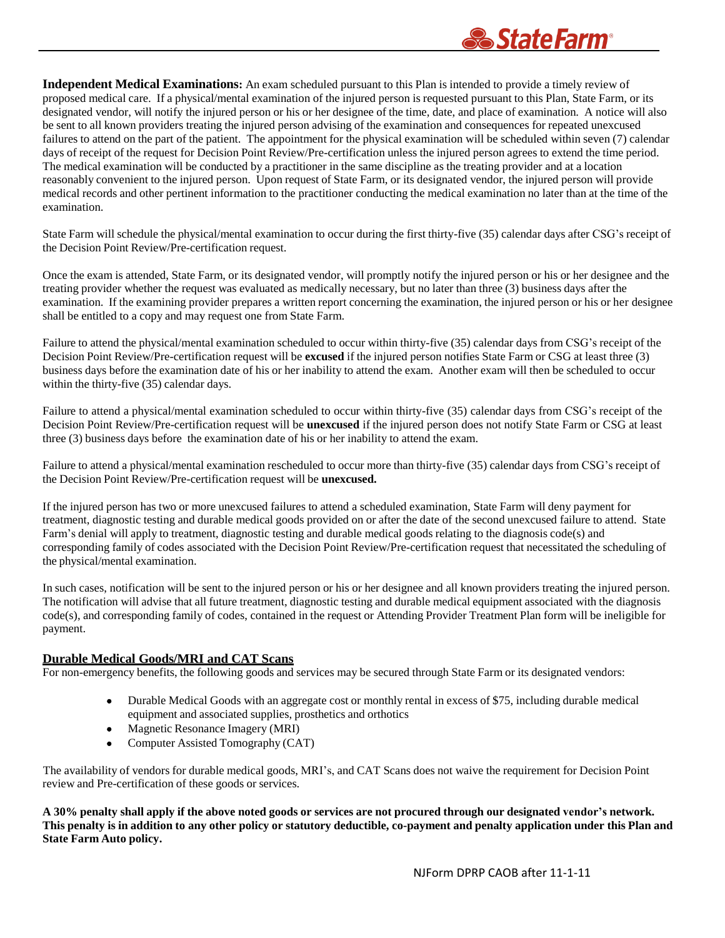

**Independent Medical Examinations:** An exam scheduled pursuant to this Plan is intended to provide a timely review of proposed medical care. If a physical/mental examination of the injured person is requested pursuant to this Plan, State Farm, or its designated vendor, will notify the injured person or his or her designee of the time, date, and place of examination. A notice will also be sent to all known providers treating the injured person advising of the examination and consequences for repeated unexcused failures to attend on the part of the patient. The appointment for the physical examination will be scheduled within seven (7) calendar days of receipt of the request for Decision Point Review/Pre-certification unless the injured person agrees to extend the time period. The medical examination will be conducted by a practitioner in the same discipline as the treating provider and at a location reasonably convenient to the injured person. Upon request of State Farm, or its designated vendor, the injured person will provide medical records and other pertinent information to the practitioner conducting the medical examination no later than at the time of the examination.

State Farm will schedule the physical/mental examination to occur during the first thirty-five (35) calendar days after CSG's receipt of the Decision Point Review/Pre-certification request.

Once the exam is attended, State Farm, or its designated vendor, will promptly notify the injured person or his or her designee and the treating provider whether the request was evaluated as medically necessary, but no later than three (3) business days after the examination. If the examining provider prepares a written report concerning the examination, the injured person or his or her designee shall be entitled to a copy and may request one from State Farm.

Failure to attend the physical/mental examination scheduled to occur within thirty-five (35) calendar days from CSG's receipt of the Decision Point Review/Pre-certification request will be **excused** if the injured person notifies State Farm or CSG at least three (3) business days before the examination date of his or her inability to attend the exam. Another exam will then be scheduled to occur within the thirty-five (35) calendar days.

Failure to attend a physical/mental examination scheduled to occur within thirty-five (35) calendar days from CSG's receipt of the Decision Point Review/Pre-certification request will be **unexcused** if the injured person does not notify State Farm or CSG at least three (3) business days before the examination date of his or her inability to attend the exam.

Failure to attend a physical/mental examination rescheduled to occur more than thirty-five (35) calendar days from CSG's receipt of the Decision Point Review/Pre-certification request will be **unexcused.**

If the injured person has two or more unexcused failures to attend a scheduled examination, State Farm will deny payment for treatment, diagnostic testing and durable medical goods provided on or after the date of the second unexcused failure to attend. State Farm's denial will apply to treatment, diagnostic testing and durable medical goods relating to the diagnosis code(s) and corresponding family of codes associated with the Decision Point Review/Pre-certification request that necessitated the scheduling of the physical/mental examination.

In such cases, notification will be sent to the injured person or his or her designee and all known providers treating the injured person. The notification will advise that all future treatment, diagnostic testing and durable medical equipment associated with the diagnosis code(s), and corresponding family of codes, contained in the request or Attending Provider Treatment Plan form will be ineligible for payment.

#### **Durable Medical Goods/MRI and CAT Scans**

For non-emergency benefits, the following goods and services may be secured through State Farm or its designated vendors:

- Durable Medical Goods with an aggregate cost or monthly rental in excess of \$75, including durable medical equipment and associated supplies, prosthetics and orthotics
- Magnetic Resonance Imagery (MRI)
- Computer Assisted Tomography (CAT)

The availability of vendors for durable medical goods, MRI's, and CAT Scans does not waive the requirement for Decision Point review and Pre-certification of these goods or services.

A 30% penalty shall apply if the above noted goods or services are not procured through our designated vendor's network. This penalty is in addition to any other policy or statutory deductible, co-payment and penalty application under this Plan and **State Farm Auto policy.**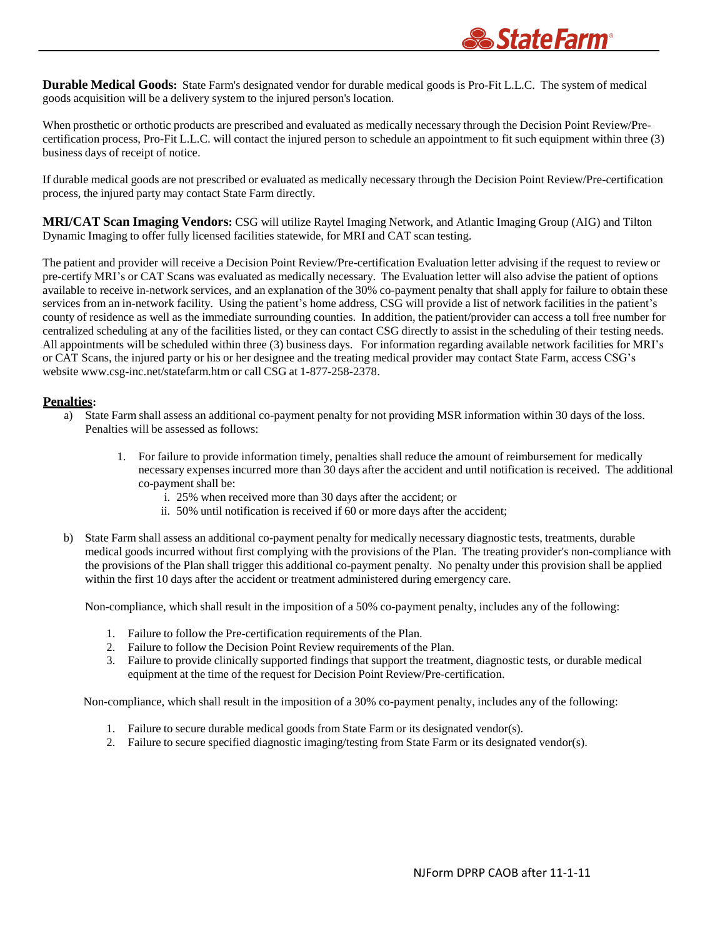**Durable Medical Goods:** State Farm's designated vendor for durable medical goods is Pro-Fit L.L.C. The system of medical goods acquisition will be a delivery system to the injured person's location.

When prosthetic or orthotic products are prescribed and evaluated as medically necessary through the Decision Point Review/Precertification process, Pro-Fit L.L.C. will contact the injured person to schedule an appointment to fit such equipment within three (3) business days of receipt of notice.

If durable medical goods are not prescribed or evaluated as medically necessary through the Decision Point Review/Pre-certification process, the injured party may contact State Farm directly.

**MRI/CAT Scan Imaging Vendors:** CSG will utilize Raytel Imaging Network, and Atlantic Imaging Group (AIG) and Tilton Dynamic Imaging to offer fully licensed facilities statewide, for MRI and CAT scan testing.

The patient and provider will receive a Decision Point Review/Pre-certification Evaluation letter advising if the request to review or pre-certify MRI's or CAT Scans was evaluated as medically necessary. The Evaluation letter will also advise the patient of options available to receive in-network services, and an explanation of the 30% co-payment penalty that shall apply for failure to obtain these services from an in-network facility. Using the patient's home address, CSG will provide a list of network facilities in the patient's county of residence as well as the immediate surrounding counties. In addition, the patient/provider can access a toll free number for centralized scheduling at any of the facilities listed, or they can contact CSG directly to assist in the scheduling of their testing needs. All appointments will be scheduled within three (3) business days. For information regarding available network facilities for MRI's or CAT Scans, the injured party or his or her designee and the treating medical provider may contact State Farm, access CSG's website [www.csg-inc.net/statefarm.htm](http://www.csg-inc.net/statefarm.htm) or call CSG at 1-877-258-2378.

#### **Penalties:**

- a) State Farm shall assess an additional co-payment penalty for not providing MSR information within 30 days of the loss. Penalties will be assessed as follows:
	- 1. For failure to provide information timely, penalties shall reduce the amount of reimbursement for medically necessary expenses incurred more than 30 days after the accident and until notification is received. The additional co-payment shall be:
		- i. 25% when received more than 30 days after the accident; or
		- ii. 50% until notification is received if 60 or more days after the accident;
- b) State Farm shall assess an additional co-payment penalty for medically necessary diagnostic tests, treatments, durable medical goods incurred without first complying with the provisions of the Plan. The treating provider's non-compliance with the provisions of the Plan shall trigger this additional co-payment penalty. No penalty under this provision shall be applied within the first 10 days after the accident or treatment administered during emergency care.

Non-compliance, which shall result in the imposition of a 50% co-payment penalty, includes any of the following:

- 1. Failure to follow the Pre-certification requirements of the Plan.
- 2. Failure to follow the Decision Point Review requirements of the Plan.
- 3. Failure to provide clinically supported findings that support the treatment, diagnostic tests, or durable medical equipment at the time of the request for Decision Point Review/Pre-certification.

Non-compliance, which shall result in the imposition of a 30% co-payment penalty, includes any of the following:

- 1. Failure to secure durable medical goods from State Farm or its designated vendor(s).
- 2. Failure to secure specified diagnostic imaging/testing from State Farm or its designated vendor(s).

*StateFarm®*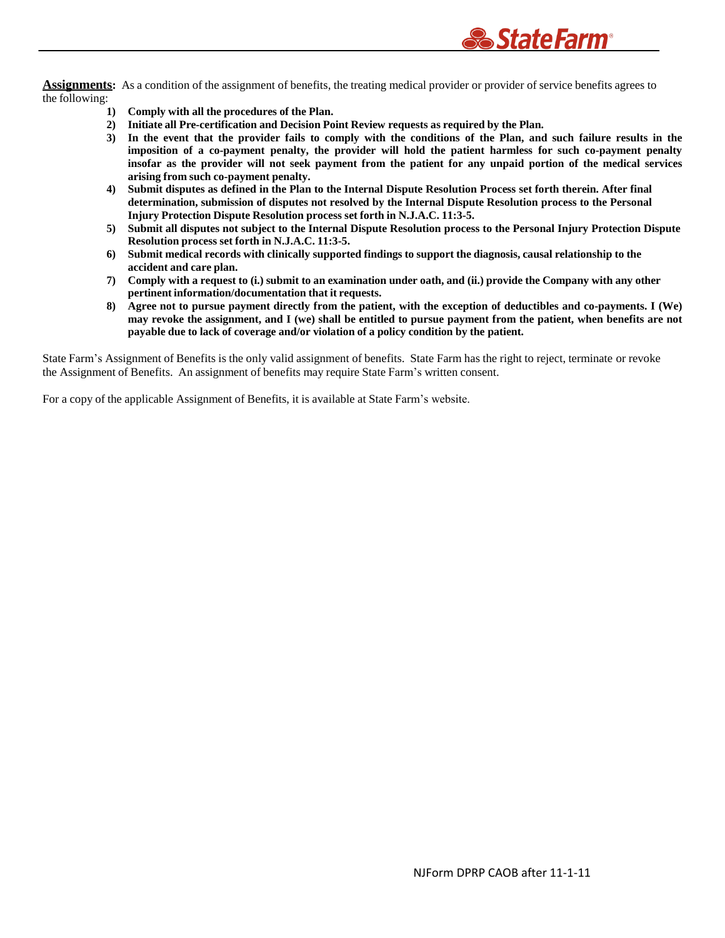

Assignments: As a condition of the assignment of benefits, the treating medical provider or provider of service benefits agrees to the following:

- **1) Comply with all the procedures of the Plan.**
- **2) Initiate all Pre-certification and Decision Point Review requests as required by the Plan.**
- 3) In the event that the provider fails to comply with the conditions of the Plan, and such failure results in the **imposition of a co-payment penalty, the provider will hold the patient harmless for such co-payment penalty** insofar as the provider will not seek payment from the patient for any unpaid portion of the medical services **arising from such co-payment penalty.**
- 4) Submit disputes as defined in the Plan to the Internal Dispute Resolution Process set forth therein. After final **determination, submission of disputes not resolved by the Internal Dispute Resolution process to the Personal Injury Protection Dispute Resolution process set forth in N.J.A.C. 11:3-5.**
- 5) Submit all disputes not subject to the Internal Dispute Resolution process to the Personal Injury Protection Dispute **Resolution process set forth in N.J.A.C. 11:3-5.**
- 6) Submit medical records with clinically supported findings to support the diagnosis, causal relationship to the **accident and care plan.**
- 7) Comply with a request to (i.) submit to an examination under oath, and (ii.) provide the Company with any other **pertinent information/documentation that it requests.**
- 8) Agree not to pursue payment directly from the patient, with the exception of deductibles and co-payments. I (We) may revoke the assignment, and I (we) shall be entitled to pursue payment from the patient, when benefits are not **payable due to lack of coverage and/or violation of a policy condition by the patient.**

State Farm's Assignment of Benefits is the only valid assignment of benefits. State Farm has the right to reject, terminate or revoke the Assignment of Benefits. An assignment of benefits may require State Farm's written consent.

For a copy of the applicable Assignment of Benefits, it is available at State Farm's website.